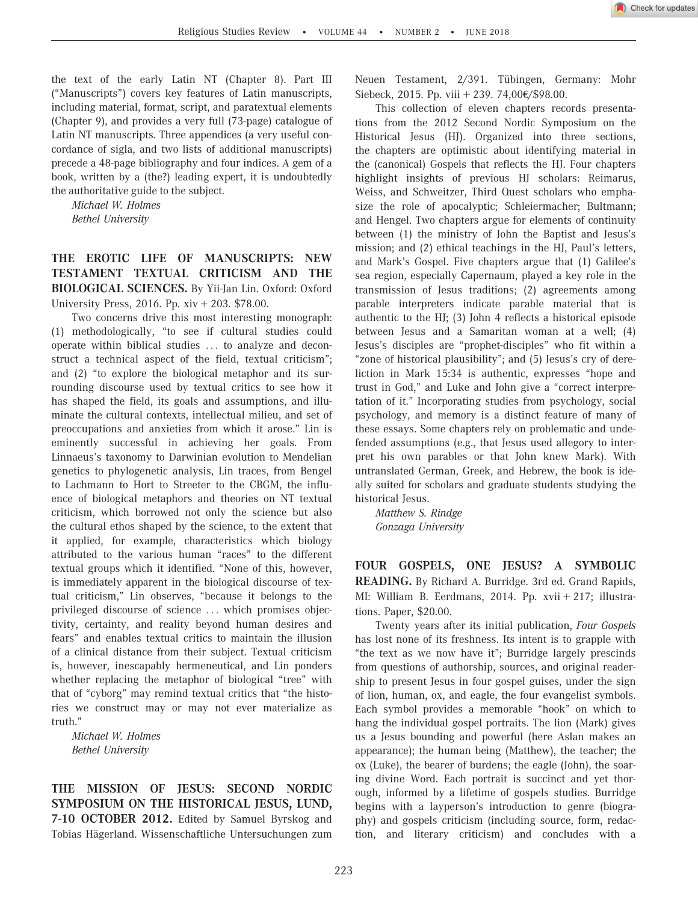

the text of the early Latin NT (Chapter 8). Part III ("Manuscripts") covers key features of Latin manuscripts, including material, format, script, and paratextual elements (Chapter 9), and provides a very full (73-page) catalogue of Latin NT manuscripts. Three appendices (a very useful concordance of sigla, and two lists of additional manuscripts) precede a 48-page bibliography and four indices. A gem of a book, written by a (the?) leading expert, it is undoubtedly the authoritative guide to the subject.

Michael W. Holmes Bethel University

THE EROTIC LIFE OF MANUSCRIPTS: NEW TESTAMENT TEXTUAL CRITICISM AND THE BIOLOGICAL SCIENCES. By Yii-Jan Lin. Oxford: Oxford University Press, 2016. Pp.  $xiv + 203$ . \$78.00.

Two concerns drive this most interesting monograph: (1) methodologically, "to see if cultural studies could operate within biblical studies ... to analyze and deconstruct a technical aspect of the field, textual criticism"; and (2) "to explore the biological metaphor and its surrounding discourse used by textual critics to see how it has shaped the field, its goals and assumptions, and illuminate the cultural contexts, intellectual milieu, and set of preoccupations and anxieties from which it arose." Lin is eminently successful in achieving her goals. From Linnaeus's taxonomy to Darwinian evolution to Mendelian genetics to phylogenetic analysis, Lin traces, from Bengel to Lachmann to Hort to Streeter to the CBGM, the influence of biological metaphors and theories on NT textual criticism, which borrowed not only the science but also the cultural ethos shaped by the science, to the extent that it applied, for example, characteristics which biology attributed to the various human "races" to the different textual groups which it identified. "None of this, however, is immediately apparent in the biological discourse of textual criticism," Lin observes, "because it belongs to the privileged discourse of science ... which promises objectivity, certainty, and reality beyond human desires and fears" and enables textual critics to maintain the illusion of a clinical distance from their subject. Textual criticism is, however, inescapably hermeneutical, and Lin ponders whether replacing the metaphor of biological "tree" with that of "cyborg" may remind textual critics that "the histories we construct may or may not ever materialize as truth."

Michael W. Holmes Bethel University

THE MISSION OF JESUS: SECOND NORDIC SYMPOSIUM ON THE HISTORICAL JESUS, LUND, 7-10 OCTOBER 2012. Edited by Samuel Byrskog and Tobias Hägerland. Wissenschaftliche Untersuchungen zum Neuen Testament, 2/391. Tübingen, Germany: Mohr Siebeck, 2015. Pp. viii + 239. 74,00 $\epsilon$ /\$98.00.

This collection of eleven chapters records presentations from the 2012 Second Nordic Symposium on the Historical Jesus (HJ). Organized into three sections, the chapters are optimistic about identifying material in the (canonical) Gospels that reflects the HJ. Four chapters highlight insights of previous HJ scholars: Reimarus, Weiss, and Schweitzer, Third Quest scholars who emphasize the role of apocalyptic; Schleiermacher; Bultmann; and Hengel. Two chapters argue for elements of continuity between (1) the ministry of John the Baptist and Jesus's mission; and (2) ethical teachings in the HJ, Paul's letters, and Mark's Gospel. Five chapters argue that (1) Galilee's sea region, especially Capernaum, played a key role in the transmission of Jesus traditions; (2) agreements among parable interpreters indicate parable material that is authentic to the HJ; (3) John 4 reflects a historical episode between Jesus and a Samaritan woman at a well; (4) Jesus's disciples are "prophet-disciples" who fit within a "zone of historical plausibility"; and (5) Jesus's cry of dereliction in Mark 15:34 is authentic, expresses "hope and trust in God," and Luke and John give a "correct interpretation of it." Incorporating studies from psychology, social psychology, and memory is a distinct feature of many of these essays. Some chapters rely on problematic and undefended assumptions (e.g., that Jesus used allegory to interpret his own parables or that John knew Mark). With untranslated German, Greek, and Hebrew, the book is ideally suited for scholars and graduate students studying the historical Jesus.

Matthew S. Rindge Gonzaga University

FOUR GOSPELS, ONE JESUS? A SYMBOLIC READING. By Richard A. Burridge. 3rd ed. Grand Rapids, MI: William B. Eerdmans, 2014. Pp. xvii + 217; illustrations. Paper, \$20.00.

Twenty years after its initial publication, Four Gospels has lost none of its freshness. Its intent is to grapple with "the text as we now have it"; Burridge largely prescinds from questions of authorship, sources, and original readership to present Jesus in four gospel guises, under the sign of lion, human, ox, and eagle, the four evangelist symbols. Each symbol provides a memorable "hook" on which to hang the individual gospel portraits. The lion (Mark) gives us a Jesus bounding and powerful (here Aslan makes an appearance); the human being (Matthew), the teacher; the ox (Luke), the bearer of burdens; the eagle (John), the soaring divine Word. Each portrait is succinct and yet thorough, informed by a lifetime of gospels studies. Burridge begins with a layperson's introduction to genre (biography) and gospels criticism (including source, form, redaction, and literary criticism) and concludes with a